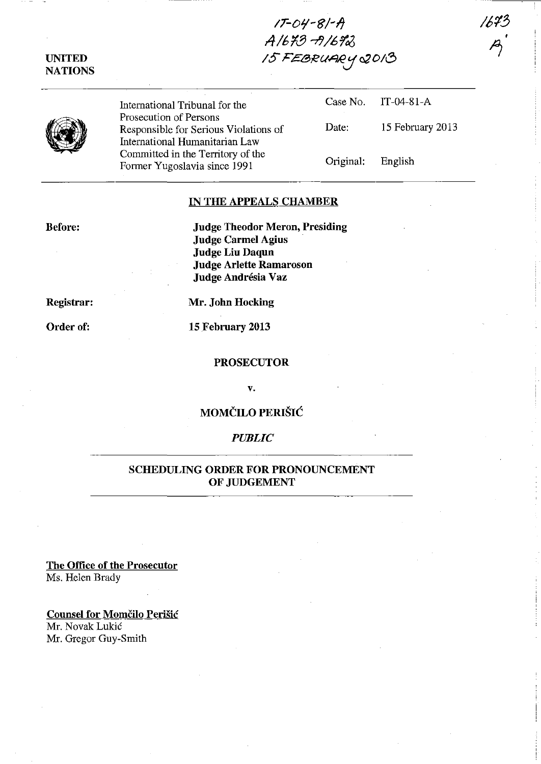## UNITED **NATIONS**

*IT-O'l-8/-1j ,4161379/67"'16 IS* F£BRU~ *0;0/8* 

International Tribunal for the Prosecution of Persons Responsible for Serious Violations of International Humanitarian Law Committed in the Territory of the Former Yugoslavia since 1991

Case No. IT-04-81-A Date: 15 February 2013 *1613* 

*P;* 

Original: English

IN THE APPEALS CHAMBER

Before:

Judge Theodor Meron, Presiding Judge Carmel Agius Judge Liu Daqun Judge Arlette Ramaroson Judge Andrésia Vaz

Registrar:

Mr. John Hocking

Order of:

15 February 2013

## PROSECUTOR

v.

MOMCILO PERISIC

## *PUBLIC*

## SCHEDULING ORDER FOR PRONOUNCEMENT OF JUDGEMENT

The Office of the Prosecutor Ms. Helen Brady

Counsel for Momčilo Perišić Mr. Novak Lukic Mr. Gregor Guy-Smith